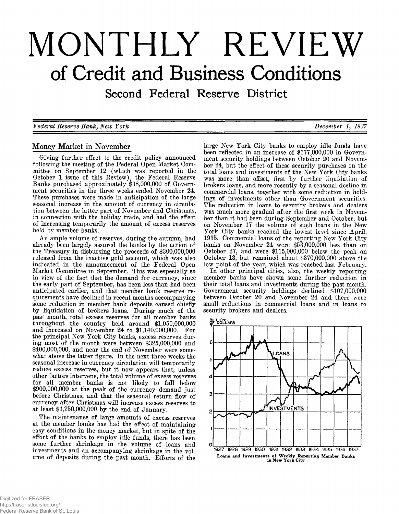# **MONTHLY REVIEW of Credit and Business Conditions**

Second Federal Reserve District

*F ederal R eserve Bank, N ew Y ork D ecem ber 1, 1937*

# Money Market in November

Giving further effect to the credit policy announced<br>following the meeting of the Federal Open Market Com-<br>mittee on September 12 (which was reported in the<br>October 1 issue of this Review), the Federal Reserve<br>Banks purcha tion between the latter part of November and Christmas,<br>in connection with the holiday trade, and had the effect<br>of increasing temporarily the amount of excess reserves<br>held by member banks.

An ample volume of reserves, during the autumn, had<br>already been largely assured the banks by the action of<br>the Treasury in disbursing the proceeds of \$300,000,000<br>released from the inactive gold account, which was also<br>i reduce excess reserves, but it now appears that, unless other factors intervene, the total volume of excess reserves for all member banks is not likely to fall below \$900,000,000 at the peak of the currency demand just before Christmas, and that the seasonal return flow of currency after Christmas will increase excess reserves to at least \$1,250,000,000 by the end of January.

The maintenance of large amounts of excess reserves<br>at the member banks has had the effect of maintaining<br>easy conditions in the money market, but in spite of the<br>effort of the banks to employ idle funds, there has been<br>so ume of deposits during the past month. Efforts of the

large New York City banks to employ idle funds have<br>been reflected in an increase of \$177,000,000 in Govern-<br>ment security holdings between October 20 and Novem-<br>ber 24, but the effect of these security purchases on the<br>to

York City banks reached the lowest level since April,<br>1935. Commercial loans of the reporting New York City<br>banks on November 24 were \$53,000,000 less than on<br>October 27, and were \$115,000,000 below the peak on<br>October 13,

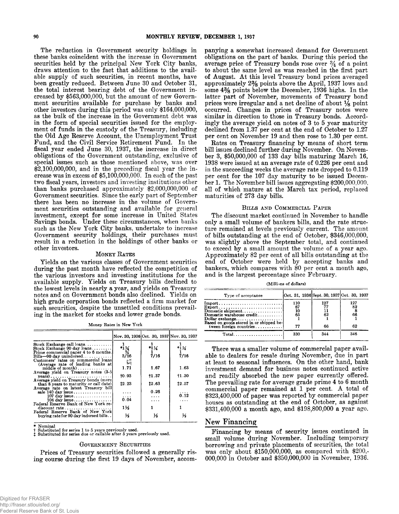The reduction in Government security holdings in<br>these banks coincident with the increase in Government<br>securities held by the principal New York City banks,<br>draws attention to the fact that additions to the scali-<br>able su than banks purchased approximately \$2,000,000,000 of<br>Government securities. Since the early part of September<br>there has been no increase in the volume of Govern-<br>ment securities outstanding and available for general<br>invest

#### MONEY RATES

Yields on the various classes of Government securities<br>during the past month have reflected the competition of<br>the various investors and investing institutions for the<br>available supply. Yields on Treasury bills declined to

**Money Rates in New York**

|                                                                                     |                     |                 | Nov. 30, 1936 Oct. 30, 1937 Nov. 30, 1937 |
|-------------------------------------------------------------------------------------|---------------------|-----------------|-------------------------------------------|
| Stock Exchange call $\log$ ns                                                       |                     |                 |                                           |
| Stock Exchange 90 day $\text{loans} \ldots$                                         | $*14$               | $*1\frac{1}{4}$ | $*1\frac{1}{4}$                           |
| Prime commercial paper 4 to 6 months.                                               | $\frac{37}{3/16}$   |                 |                                           |
| $Bills$ -90 day unindorsed                                                          |                     | 7/16            | 7/16                                      |
| Customers' rates on commercial loans                                                | $\overline{\Sigma}$ |                 |                                           |
| (Average rate of leading banks at                                                   | 1.71                | 1.67            | 1.63                                      |
| $midide of month) \dots \dots \dots \dots$<br>Average yield on Treasury notes (3-5) |                     |                 |                                           |
| $\textbf{years}$ )                                                                  | <b>t0.93</b>        | +1.37           | †1.30                                     |
| Average yield on Treasury bonds (more)                                              |                     |                 |                                           |
| than 8 years to maturity or call date)                                              | 12.23               | <b>12.63</b>    | 12.57                                     |
| Average rate on latest Treasury bill                                                |                     |                 |                                           |
| sale $140 \text{ day issue} \dots \dots \dots \dots$                                | .                   | 0.26            | .                                         |
| $107 \text{ day}$ issue                                                             | .                   | $\cdots$        | 0.12                                      |
| $104$ day issue                                                                     | 0.04                |                 | .                                         |
| Federal Reserve Bank of New York re-                                                |                     |                 |                                           |
|                                                                                     | 1½                  |                 |                                           |
| Federal Reserve Bank of New York                                                    |                     |                 |                                           |
| buying rate for 90 day indorsed bills                                               | ⅓                   | ⅓               | ⅓                                         |
|                                                                                     |                     |                 |                                           |

**\* Nominal**

**t Substituted for series 1 to 5 years previously used.** *t* **Substituted for series due or callable after 5 years previously used.**

#### GOVERNMENT SECURITIES

Prices of Treasury securities followed a generally rising course during the first 19 days of November, accompanying a somewhat increased demand for Government<br>obligations on the part of banks. During this period the<br>average price of Treasury bonds rose over  $\frac{3}{4}$  of a point<br>to about the same level as was reached in the firs declined from 1.37 per cent at the end of October to 1.27 per cent on November 19 and then rose to 1.30 per cent.<br>Rates on Treasury financing by means of short term

bill issues declined further during November. On November 3, \$50,000,000 of 133 day bills maturing March 16, 1938 were issued at an average rate of 0.226 per cent and in the succeeding weeks the average rate dropped to 0.1

#### BILLS AND COMMERCIAL PAPER

The discount market continued in November to handle only a small volume of bankers bills, and the rate structure remained at levels previously current. The amount<br>of bills outstanding at the end of October, \$346,000,000,<br>was slightly above the September total, and continued<br>to exceed by a small amount the volume of a year ago.<br>A

**(Millions of dollars)**

| Type of acceptance                                                                    |                             | Oct. 31, 1936 Sept. 30, 1937 Oct. 30, 1937 |                       |
|---------------------------------------------------------------------------------------|-----------------------------|--------------------------------------------|-----------------------|
| Dollar exchange<br>Based on goods stored in or shipped be-<br>tween foreign countries | 110<br>67<br>10<br>65<br>77 | 127<br>62<br>66                            | 127<br>82<br>66<br>62 |
| $Total \dots \dots \dots \dots \dots \dots \dots$                                     | 330                         | 344                                        | 346                   |

There was a smaller volume of commercial paper available to dealers for resale during November, due in part at least to seasonal influences. On the other hand, bank investment demand for business notes continued active and houses as outstanding at the end of October, as against \$331,400,000 a month ago, and \$198,800,000 a year ago.

# New Financing

Financing by means of security issues continued in<br>small volume during November. Including temporary<br>borrowing and private placements of securities, the total<br>was only about \$150,000,000, as compared with \$200,-<br>000,000 in

http://fraser.stlouisfed.org/ Federal Reserve Bank of St. Louis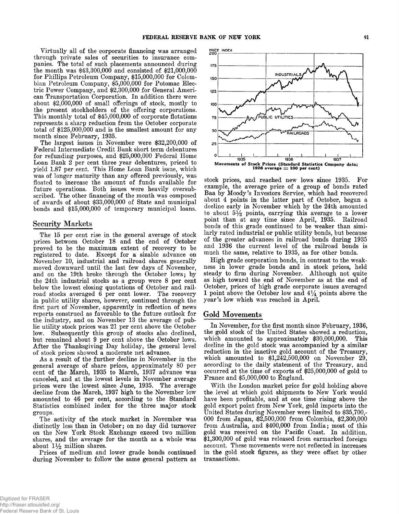Virtually all of the corporate financing was arranged<br>through private sales of securities to insurance com-<br>panies. The total of such placements announced during<br>the month was \$43,300,000 and consisted of \$21,000,000<br>for

#### Security Markets

The 15 per cent rise in the general average of stock<br>prices between October 18 and the end of October<br>proved to be the maximum extent of recovery to be<br>registered to date. Except for a sizable advance on<br>November 10, indus

cent of the March, 1935 to March, 1937 advance was canceled, and at the lowest levels in November average prices were the lowest since June, 1935. The average decline from the March, 1937 high to the November low amounted to 46 per cent, according to the Standard Statistics combined index for the three major stock

groups.<br>The activity of the stock market in November was<br>distinctly less than in October; on no day did turnover<br>on the New York Stock Exchange exceed two million<br>shares, and the average for the month as a whole was<br>about



stock prices, and reached new lows since 1935. For<br>example, the average price of a group of bonds rated<br>Baa by Moody's Investors Service, which had recovered<br>about 4 points in the latter part of October, began a<br>decline e

much the same, relative to 1935, as for other bonds.<br>High grade corporation bonds, in contrast to the weak-<br>ness in lower grade bonds and in stock prices, held<br>steady to firm during November. Although not quite<br>as high to

# Gold Movements

In November, for the first month since February, 1936,<br>the gold stock of the United States showed a reduction,<br>which amounted to approximately \$30,000,000. This<br>decline in the gold stock was accompanied by a similar<br>reduc

With the London market price for gold holding above<br>the level at which gold shipments to New York would<br>have been profitable, and at one time rising above the<br>gold export point from New York, gold imports into the<br>United S in the gold stock figures, as they were offset by other transactions.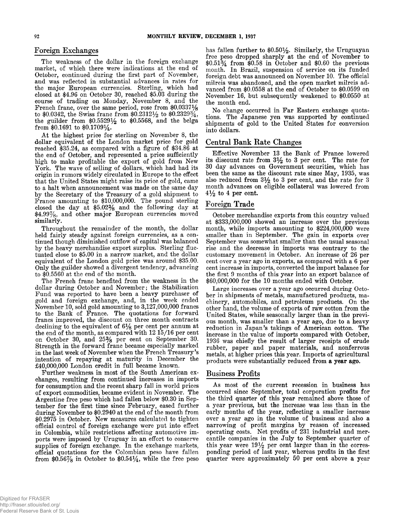The weakness of the dollar in the foreign exchange<br>market, of which there were indications at the end of<br>October, continued during the first part of November,<br>and was reflected in substantial advances in rates for<br>the maj the guilder from  $$0.5529\frac{1}{2}$  to  $$0.5568$ , and the belga from \$0.1691 to  $$0.1709\frac{1}{4}$ .

At the highest price for sterling on November 8, the<br>dollar equivalent of the London market price for gold<br>reached \$35.24, as compared with a figure of \$34.86 at<br>the end of October, and represented a price sufficiently<br>hi \$4.99%, and other major European currencies moved<br>similarly.<br>Throughout the remainder of the month, the dollar

held fairly steady against foreign currencies, as a continued though diminished outflow of capital was balanced<br>by the heavy merchandise export surplus. Sterling fluc-<br>tuated close to \$5.00 in a narrow market, and the doll

dollar during October and November; the Stabilization<br>Fund was reported to have been a heavy purchaser of<br>gold and foreign exchange, and, in the week ended<br>November 10, sold gold amounting to 3,127,000,000 francs<br>to the B in the last week of November when the French Treasury's intention of repaying at maturity in December the £40,000,000 London credit in full became known.

changes, resulting from continued increases in imports for consumption and the recent sharp fall in world prices of export commodities, became evident in November. The Argentine free peso which had fallen below  $$0.30$  in September for the first time since February, eased further during November to  $$0.2940$  at the end of the month from  $$0.2975$  in October. New measures calculated to t in Colombia, while restrictions affecting automotive imports were imposed by Uruguay in an effort to conserve supplies of foreign exchange. In the exchange markets, official quotations for the Colombian peso have fallen from  $6.56\%$  in October to  $6.54\frac{1}{4}$ , while the free peso

Foreign Exchanges<br>
The weakness of the dollar in the foreign exchange<br>
The weakness of the dollar in the foreign exchange<br>
The weakness of the dollar in the foreign exchange<br>  $\text{#0.51}^3\text{/}$  from \$0.58 in October and \$0. November 16, but subsequently weakened to \$0.0550 at the month end.

No change occurred in Far Eastern exchange quotations. The Japanese yen was supported by continued shipments of gold to the United States for conversion into dollars.

# Central Bank Rate Changes

Effective November 13 the Bank of France lowered<br>its discount rate from  $3\frac{1}{2}$  to 3 per cent. The rate for<br>30 day advances on Government securities, which has<br>been the same as the discount rate since May, 1935, was<br>al  $4\frac{1}{2}$  to 4 per cent.

# Foreign Trade

October merchandise exports from this country valued<br>at  $$333,000,000$  showed an increase over the previous<br>month, while imports amounting to  $$224,000,000$  were<br>smaller than in September. The gain in exports over<br>Septemb

Large increases over a year ago occurred during October in shipments of metals, manufactured products, machinery, automobiles, and petroleum products. On the other hand, the volume of exports of raw cotton from the United metals, at higher prices this year. Imports of agricultural products were substantially reduced from **a** year ago.

#### **Business Profits**

As most of the current recession in business has occurred since September, total corporation profits for the third quarter of this year remained above those of a year previous, but the increase was less than in the<br>early months of the year, reflecting a smaller increase<br>over a year ago in the volume of business and also a<br>narrowing of profit margins by reason of increased<br>operati this year were  $19\frac{1}{2}$  per cent larger than in the corresponding period of last year, whereas profits in the first quarter were approximately 50 per cent above a year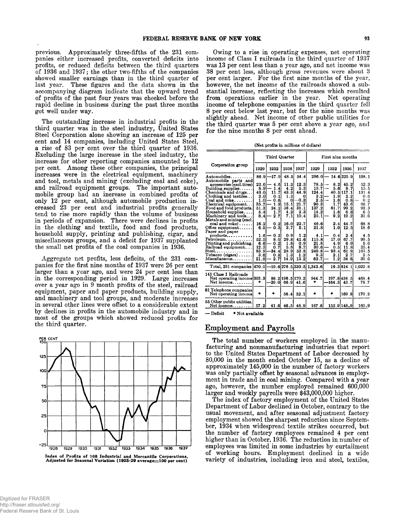previous. Approximately three-fifths of the 231 com-<br>panies either increased profits, converted deficits into<br>profits, or reduced deficits between the third quarters<br>of 1936 and 1937; the other two-fifths of the companies<br>

The outstanding increase in industrial profits in the<br>third quarter was in the steel industry, United States<br>Steel Corporation alone showing an increase of 125 per<br>cent and 14 companies, including United States Steel,<br>a ri only 12 per cent, although automobile production in-<br>creased 23 per cent and industrial profits generally<br>tend to rise more rapidly than the volume of business<br>in periods of expansion. There were declines in profits<br>in the

Aggregate net profits, less deficits, of the 231 com-<br>panies for the first nine months of 1937 were 26 per cent<br>larger than a year ago, and were 24 per cent less than<br>in the corresponding period in 1929. Large increases<br>ov



Index of Profits of 168 Industrial and Mercantile Corporations, Adjusted for Seasonal Variation (1925-29 average=100 per cent)

Owing to a rise in operating expenses, net operating<br>income of Class I railroads in the third quarter of 1937<br>was 13 per cent less than a year ago, and net income was<br>38 per cent less, although gross revenues were about 3<br>

(Net profits in millions of dollars)

|                                                                                                                                                                                                                                                                                                                                                                                            |                                                                                        | Third Quarter                                                                               |                                                                                                                       |                                                                                                | First nine months                                                                               |                                                                              |                                                                                                     |                                                                                             |
|--------------------------------------------------------------------------------------------------------------------------------------------------------------------------------------------------------------------------------------------------------------------------------------------------------------------------------------------------------------------------------------------|----------------------------------------------------------------------------------------|---------------------------------------------------------------------------------------------|-----------------------------------------------------------------------------------------------------------------------|------------------------------------------------------------------------------------------------|-------------------------------------------------------------------------------------------------|------------------------------------------------------------------------------|-----------------------------------------------------------------------------------------------------|---------------------------------------------------------------------------------------------|
| Corporation group                                                                                                                                                                                                                                                                                                                                                                          | 1929                                                                                   | 1932                                                                                        | 1936                                                                                                                  | 1937                                                                                           | 1929                                                                                            | 1932                                                                         | 1936                                                                                                | 1937                                                                                        |
| $\bm{\mathrm{Aut}}$ omobiles $\dots\dots\dots$<br>Automobile parts and<br>accessories (excl. tires)<br>Building supplies<br>Chemicals and drugs<br>Clothing and textiles<br>$Coal$ and $coke$<br>Electrical equipment<br>Food and food products.<br>$H$ ousehold supplies<br>Machinery and tools<br>Metals and mining (excl.<br>$\cosh$ and $\cosh$<br>Office equipment<br>Paper and paper | 86.9<br>22.0<br>8.9<br>43.0<br>2.0<br>1.0<br>35.7<br>51.3<br>5.4<br>8.4<br>16.2<br>6.9 | –17.9İ<br>- 4.61<br>1.41<br>11.7<br>0.11<br>0.6<br>1.9<br>24.11<br>1.7<br>2.7<br>0.2<br>0.3 | 48.5<br>11.3<br>$\overline{\mathbf{4}}$<br>.2<br>43.3<br>1.3<br>$\bf{0}$<br>15.1<br>38.4<br>4.2<br>7.1<br>16.0<br>3.7 | 54.4<br>12.3<br>5.3<br>44.9<br>$\bf{0}$<br>-0.31<br>21.7<br>31.1<br>3.3<br>10.4<br>22.7<br>5.1 | 296.0<br>78.5<br>18.7<br>124.4<br>3.2<br>2.5<br>90.31<br>137.2<br>14.2<br>25.11<br>46.6<br>21.8 | 8.2<br>5.6<br>1<br>.9<br>1.61<br>1.71<br>81.7<br>1.6<br>9.21<br>2.4I<br>1.01 | 14.6 225.9<br>45.2<br>87<br>40.5 117.1<br>2.2<br>0.8<br>43.6<br>99.2<br>6.8<br>19.2<br>44.7<br>12.5 | 198.1<br>52.3<br>15.5<br>131.4<br>0.6<br>0.2<br>66.7<br>92.3<br>6.5<br>31.6<br>68.8<br>18.6 |
| $products \ldots$<br>Petroleum<br>Printing and publishing.<br>Railroad equipment<br>Steel<br>Tobacco (cigars)<br>Miscellaneous                                                                                                                                                                                                                                                             | 1.61<br>52.5<br>6.61<br>12.3<br>83.9<br>3.61<br>21.8ŀ                                  | 0.2<br>8.0<br>0.2<br>0.7<br>$-34.4$<br>0.8<br>2.7                                           | 0.91<br>29.8I<br>$\frac{1.8}{5.8}$<br>28.9<br>1.3<br>14.9                                                             | 1.2<br>41.6<br>0.9<br>8.7<br>52.8<br>1.2<br>13.2                                               | 4.1<br>115.8<br>21.8<br>30.6<br>240.8<br>9.3<br>62.7                                            | 0.4<br>17.0<br>4.9<br>0.5I<br>93.4<br>2.1<br>1.2                             | 2.4<br>67.7<br>6.9<br>11.8<br>61.9<br>2.7<br>34.8                                                   | 4.5<br>99.5<br>5.6<br>25.4<br>163.5<br>2.5<br>39.6                                          |
| Total, 231 companies [470.0]-19.6[276.5]330.5] 1.343.6]                                                                                                                                                                                                                                                                                                                                    |                                                                                        |                                                                                             |                                                                                                                       |                                                                                                |                                                                                                 |                                                                              | 16.3 814.1                                                                                          | 1.022.8                                                                                     |
| 141 Class I Railroads<br>Net operating income 393.3<br>Net income                                                                                                                                                                                                                                                                                                                          | 4                                                                                      | -39.OI                                                                                      | 66.91                                                                                                                 | 88.2 196.5 170.2<br>41.6                                                                       | 944.7<br>*                                                                                      | $-164.3$ 43.7                                                                | 197.8434.5                                                                                          | 468.4<br>78.7                                                                               |
| 81 Telephone companies<br>Net operating incomel                                                                                                                                                                                                                                                                                                                                            | ٠                                                                                      | ٠                                                                                           | 56.4                                                                                                                  | 52.1                                                                                           | *                                                                                               | 倉                                                                            | 169.8                                                                                               | 170.2                                                                                       |
| 55 Other public utilities.<br>${\bf Net\,\, income. \dots . \dots .}$                                                                                                                                                                                                                                                                                                                      | 57.2                                                                                   | 41.6                                                                                        | 46.5                                                                                                                  | 48.9                                                                                           | 187.6                                                                                           |                                                                              | 152.9 148.9                                                                                         | 160.9                                                                                       |

 $-$  Deficit  $*$  Not available

# Employment and Payrolls

The total number of workers employed in the manu-<br>facturing and nonmanufacturing industries that report<br>to the United States Department of Labor decreased by<br>80,000 in the month ended October 15, as a decline of<br>approximat

ment in trade and in coal mining. Compared with a year<br>ago, however, the number employed remained 600,000<br>larger and weekly payrolls were \$43,000,000 higher.<br>The index of factory employment of the United States<br>Department ber, 1934 when widespread textile strikes occurred, but the number of factory employees remained 4 per cent higher than in October, 1936. The reduction in number of employees was limited in some industries by curtailment of working hours. Employment declined in a wide variety of industries, including iron and steel, textiles,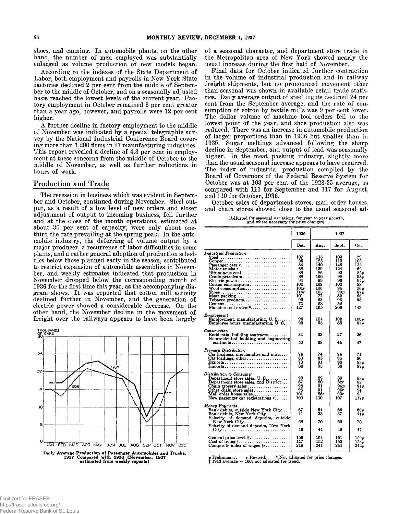shoes, and canning. In automobile plants, on the other hand, the number of men employed was substantially enlarged as volume production of new models began.

According to the indexes of the State Department of Labor, both employment and payrolls in New York State factories declined 2 per cent from the middle of September to the middle of October, and on a seasonally adjusted ba

A further decline in factory employment to the middle<br>of November was indicated by a special telegraphic sur-<br>vey by the National Industrial Conference Board cover-<br>ing more than 1,200 firms in 27 manufacturing industries.

# Production and Trade

The recession in business which was evident in September and October, continued during November. Steel output, as a result of a low level of new orders and closer adjustment of output to incoming business, fell further and third the rate prevailing at the spring peak. In the auto-<br>mobile industry, the deferring of volume output by a<br>major producer, a recurrence of labor difficulties in some<br>plants, and a rather general adoption of production



of a seasonal character, and department store trade in the Metropolitan area of New York showed nearly the usual increase during the first half of November.<br>Final data for October indicated further contraction

Final data for October indicated further contraction<br>in the volume of industrial production and in railway<br>freight shipments, but no pronounced movement other<br>than seasonal was shown in available retail trade statis-<br>ties.

# (Adjusted for seasonal variations, for year to year growth,<br>and where necessary for price changes)

|                                                                                                                                                                                                                                                                                                                                                                                     | 1936                                                                                     | 1937                                                                                      |                                                                                         |                                                                                               |
|-------------------------------------------------------------------------------------------------------------------------------------------------------------------------------------------------------------------------------------------------------------------------------------------------------------------------------------------------------------------------------------|------------------------------------------------------------------------------------------|-------------------------------------------------------------------------------------------|-----------------------------------------------------------------------------------------|-----------------------------------------------------------------------------------------------|
|                                                                                                                                                                                                                                                                                                                                                                                     | Oct.                                                                                     | Aug.                                                                                      | Sept.                                                                                   | Oct.                                                                                          |
| Industrial Production<br>Copper<br>Passenger cars $r_1, \ldots, r_k, \ldots, r_k, \ldots, r_k$<br>Motor trucks r<br>$Bituminous$ $coal.$<br>$Crude$ petroleum<br>Electric power<br>Cotton consumption<br>$\textbf{Wool}$ consumption<br>Shoes<br>Meat packing<br>Tobacco products<br>$\text{Cement.}\ldots, \ldots, \ldots, \ldots, \ldots, \ldots, \ldots$<br>Machine tool orders* | 107<br>95<br>84<br>68<br>88<br>88<br>94<br>104<br>101r<br>114r<br>101<br>93<br>71<br>127 | 115<br>125<br>140<br>129<br>86<br>100<br>99<br>108<br>106<br>105<br>77<br>93<br>58<br>165 | 103<br>110<br>145<br>124<br>92<br>98<br>96<br>102<br>84<br>90p<br>82<br>93<br>59<br>206 | 79<br>108<br>135<br>62<br><b>85p</b><br>98 v<br>94 v<br>88<br>56 p<br>87 p<br>86<br>95<br>143 |
| Employment<br>Employment, manufacturing, U.S<br>Employee hours, manufacturing, U.S                                                                                                                                                                                                                                                                                                  | 96<br>90                                                                                 | 104<br>95                                                                                 | 102<br>88                                                                               | 100p<br>87 v                                                                                  |
| Construction<br>Residential building contracts<br>Nonresidential building and engineering<br>$contracts \ldots \ldots \ldots \ldots \ldots \ldots \ldots \ldots$                                                                                                                                                                                                                    | 34<br>53                                                                                 | 33<br>68                                                                                  | 27<br>44                                                                                | 26<br>47                                                                                      |
| Primary Distribution<br>Car loadings, merchandise and misc<br>$Car$ loadings, other<br>$Exports. \ldots \ldots \ldots \ldots \ldots \ldots \ldots \ldots \ldots$                                                                                                                                                                                                                    | 74<br>80<br>70<br>86                                                                     | 74<br>83<br>91<br>95                                                                      | 74<br>85<br>86<br>88                                                                    | 71<br>80<br>83 p<br>82 p                                                                      |
| Distribution to Consumer<br>Department store sales, U.S<br>Department store sales, 2nd District<br>Other chain store sales<br>Mail order house sales<br>New passenger car registrations $r \dots$                                                                                                                                                                                   | 93<br>87<br>96<br>96<br>101<br>100                                                       | 89<br>80<br>91<br>91<br>86r<br>110                                                        | 89<br>82r<br>94 p<br>95r<br>93r<br>107                                                  | 88 p<br>82<br>94 v<br>94<br>93<br>117 p                                                       |
| <b>Money Payments</b><br>Bank debits, outside New York City<br>Bank debits, New York City<br>Velocity of demand deposits, outside<br>New York City<br>Velocity of demand deposits, New York                                                                                                                                                                                         | 67<br>41<br>68<br>46                                                                     | 64<br>33<br>70<br>44                                                                      | 66<br>37<br>69<br>45                                                                    | 66 p<br>41 v<br>70<br>47                                                                      |
| General price level $\dagger$<br>Cost of living $\dots$<br>Composite index of wages $\mathbf{r}$                                                                                                                                                                                                                                                                                    | 156<br>147<br>219                                                                        | 164<br>152<br>241                                                                         | 161<br>153<br>241                                                                       | $_{159p}$<br>153 o<br>242 p                                                                   |

p Preliminary, r Revised. \* Not adjusted for price changes.<br>† 1913 average = 100; not adjusted for trend.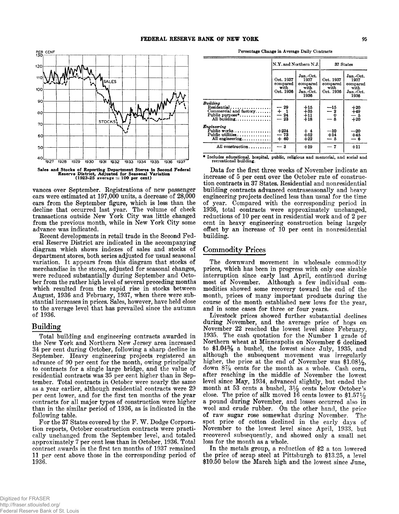

vances over September. Registrations of new passenger cars were estimated at 197,000 units, a decrease of 28,000 cars from the September figure, which is less than the<br>decline that occurred last year. The volume of check<br>transactions outside New York City was little changed<br>from the previous month, while in New York City some<br>advance

Recent developments in retail trade in the Second Federal Reserve District are indicated in the accompanying diagram which shows indexes of sales and stocks of department stores, both series adjusted for usual seasonal var

# **Building**

Total building and engineering contracts awarded in<br>the New York and Northern New Jersey area increased<br>34 per cent during October, following a sharp decline in<br>September. Heavy engineering projects registered an<br>advance o per contracts for all major types of construction were higher<br>than in the similar period of 1936, as is indicated in the<br>following table.<br>For the 37 States covered by the F. W. Dodge Corpora-

tion reports, October construction contracts were practically unchanged from the September level, and totaled approximately 7 per cent less than in October, 1936. Total contract awards in the first ten months of 1937 remai 1936.

Percentage Change in Average Daily Contracts

|                                                                                                          |                                            | $\left  \text{N,Y, and Northern N.J.} \right $             | 37 States                                           |                                                            |  |
|----------------------------------------------------------------------------------------------------------|--------------------------------------------|------------------------------------------------------------|-----------------------------------------------------|------------------------------------------------------------|--|
|                                                                                                          | Oct. 1937<br>compared<br>with<br>Oct. 1936 | Jan.-Oct.<br>1937<br>compared<br>with<br>Jan.-Oct.<br>1936 | Oct. 1937<br>compared<br>with<br>Oct. 1936          | Jan.-Oct.<br>1937<br>compared<br>with<br>Jan.-Oct.<br>1936 |  |
| Buildino<br>Residential<br>Commercial and factory<br>Public purpose $*, \ldots, \ldots,$<br>All building | $-29$<br>$rac{+}{24}$<br>$-23$             | $+15$<br>$+35$<br>$^{+11}_{+18}$                           | $\begin{array}{r} -15 \\ -2 \\ 0 \\ -8 \end{array}$ | $^{+20}_{+49}$<br>$-5$<br>$+20$                            |  |
| Engineering<br>Public works<br>Public utilities<br>All engineering                                       | $+234$<br>— 73<br>$+ 60$                   | $+4/52$<br>$+22$                                           | —10<br>$+14$<br>— 5                                 | $-20$<br>$+45$<br>— 6                                      |  |
| All construction                                                                                         | — 3                                        | $+19$                                                      | $-7$                                                | $+11$                                                      |  |

\* includes educational, hospital, public, religious and memorial, and social and<br>recreational building.

Data for the first three weeks of November indicate an increase of 5 per cent over the October rate of construction contracts in 37 States. Residential and nonresidential building contracts advanced contraseasonally and he reductions of 10 per cent in residential work and of 2 per cent in heavy engineering construction being largely offset by an increase of 10 per cent in nonresidential building.

# Commodity Prices

The downward movement in wholesale commodity prices, which has been in progress with only one sizable interruption since early last A pril, continued during most of November. Although a few individual commodities showed some recovery toward the end of the month, prices of many important products during the course of the month established new lows for the year, and in some cases for three or four years. Livestock prices sho

during November, and the average price of hogs on November 22 reached the lowest level since February, 1935. The cash quotation for the Number 1 grade of Northern wheat at Minneapolis on November 6 declined to \$1.043% a b close. The price of silk moved 16 cents lower to  $$1.57\frac{1}{2}$$ a pound during November, and losses occurred also in wool and crude rubber. On the other hand, the price of raw sugar rose somewhat during November. The spot price of cotton declined in the early days of November to the lowest level since A pril, 1933, but recovered subsequently, and showed only a small net loss for the month as a whole. In the metals group, a reduction of

the price of scrap steel at Pittsburgh to \$13.25, a level \$10.50 below the March high and the lowest since June,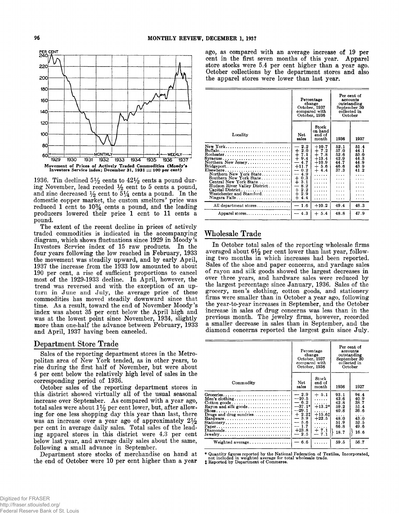

1936. Tin declined  $5\frac{1}{2}$  cents to  $42\frac{1}{2}$  cents a pound during November, lead receded  $\frac{1}{2}$  cent to 5 cents a pound, and zinc decreased  $\frac{1}{2}$  cent to  $5\frac{1}{4}$  cents a pound. In the domestic copper marke

#### Department Store Trade

Sales of the reporting department stores in the Metro-politan area of New York tended, as in other years, to rise during the first half of November, but were about 4 per cent below the relatively high level of sales in the

October sales of the reporting department stores in this district showed virtually all of the usual seasonal increase over September. As compared with a year ago, total sales were about  $1\frac{1}{2}$  per cent lower, but, aft ing for one less shopping day this year than last, there was an increase over a year ago of approximately  $21/2$ per cent in average daily sales. Total sales of the leading apparel stores in this district were 4.3 per cent below last year, and average daily sales about the same, following a small advance in September. Department stor

the end of October were 10 per cent higher than a year

PER CENT<br>
PER CENT<br> **PER CENT**<br> **PER CENT**<br> **PER CENT**<br> **PER CENT**<br> **PER CENT**<br> **PER CENT**<br> **PER CENT**<br> **PER CENT**<br> **PER CENT**<br> **PER CENT**<br> **PER CENT**<br> **PER CENT**<br> **PER CENT**<br> **PER CENT**<br> **PER CENT**<br> **PER CENT**<br> **PER CENT** October collections by the department stores and also the apparel stores were lower than last year.

|                                                                                                                                                                                                                                                           |                                                                                                                                                                                                          | Percentage<br>change<br>October, 1937<br>compared with<br>October, 1936                | Per cent of<br>accounts<br>outstanding<br>September 30<br>collected in<br>October |                                                           |
|-----------------------------------------------------------------------------------------------------------------------------------------------------------------------------------------------------------------------------------------------------------|----------------------------------------------------------------------------------------------------------------------------------------------------------------------------------------------------------|----------------------------------------------------------------------------------------|-----------------------------------------------------------------------------------|-----------------------------------------------------------|
| Locality                                                                                                                                                                                                                                                  | <b>Net</b><br>sales                                                                                                                                                                                      | Stock<br>on hand<br>end of<br>month                                                    | 1936                                                                              | 1937                                                      |
| Buffalo<br>Northern New Jersey<br>$\text{Bridgeport} \dots \dots \dots \dots \dots \dots \dots \dots \dots$<br>Elsewhere<br>Northern New York State<br>Southern New York State<br>Central New York State<br>Hudson River Valley District<br>Niagara Falls | 2.2<br>$\overline{\phantom{0}}$<br>$1, 2.0$<br>$+ 7.1$<br>∔<br>9.4<br>4.7<br>$+11.7$<br>$-0.2$<br>4.9<br>$\overline{\phantom{0}}$<br>$+ 9.3$<br>8.2<br>—<br>$\div$<br>2.2<br>$\div$<br>2.9<br>$+$<br>4.4 | $+10.7$<br>$+7.2$<br>$+7.8$<br>$+13.4$<br>$+10.9$<br>$+5.6$<br>$+4.4$<br>$\cdots$<br>. | 52.1<br>57.0<br>52.6<br>42.9<br>44.7<br>46.6<br>37.3<br>.<br>.<br>$\cdots$<br>.   | 51.4<br>44.1<br>53.0<br>44.3<br>44.9<br>43.9<br>41.2<br>. |
| All department stores                                                                                                                                                                                                                                     | $-1.6$                                                                                                                                                                                                   | $+10.2$                                                                                | 49.4                                                                              | 48.3                                                      |
| Apparel stores                                                                                                                                                                                                                                            | $-4.3$                                                                                                                                                                                                   | $+ 5.4$                                                                                | 48.8                                                                              | 47.9                                                      |
|                                                                                                                                                                                                                                                           |                                                                                                                                                                                                          |                                                                                        |                                                                                   |                                                           |

# Wholesale Trade

In October total sales of the reporting wholesale firms<br>averaged about  $6\frac{1}{2}$  per cent lower than last year, follow-<br>ing two months in which increases had been reported.<br>Sales of the shoe and paper concerns, and yarda the largest percentage since January, 1936. Sales of the grocery, men's clothing, cotton goods, and stationery firms were smaller than in October a year ago, following the year-to-year increases in September, and the Octob

|                                                                                                                         | Percentage<br>change<br>October, 1937<br>compared with<br>October, 1936                                          |                                                                                   | Per cent of<br>accounts<br>outstanding<br>September 30<br>collected in<br>October |                                                                           |
|-------------------------------------------------------------------------------------------------------------------------|------------------------------------------------------------------------------------------------------------------|-----------------------------------------------------------------------------------|-----------------------------------------------------------------------------------|---------------------------------------------------------------------------|
| Commodity                                                                                                               | Stock<br>Net<br>end of<br>sales<br>month                                                                         |                                                                                   | 1936                                                                              | 1937                                                                      |
| $\text{Cottom}$ goods<br>Rayon and silk goods<br>Drugs and drug sundries<br>Hardware<br>Stationery<br>Paper<br>Diamonds | $-2.9$<br>$-10.5$<br>$-6.2$<br>$-37.1*$<br>$-29.1$<br>$+2.21$<br>$-3.9$<br>$-5.6$<br>$-1.7$<br>$+23.8$<br>$-2.5$ | $+5.1$<br>.<br>.<br>$+13.2*$<br>$+15.61$<br>$+22.5$<br>.<br>.<br>$+7.1$<br>$-7.1$ | 93.1<br>43.6<br>42.8<br>59.2<br>40.8<br>.<br>48.0<br>51.9<br>66.8<br>18.7         | 94.4<br>40.9<br>38.7<br>51.4<br>36.6<br>.<br>43.0<br>52.5<br>49.6<br>16.6 |
|                                                                                                                         | $-6.6$                                                                                                           | .                                                                                 | 59.5                                                                              | 56.7                                                                      |

\* Quantity figures reported by the National Federation of Textiles, Incorporated, not included in weighted average for total wholesale trade. *%* Reported by Department of Commerce.